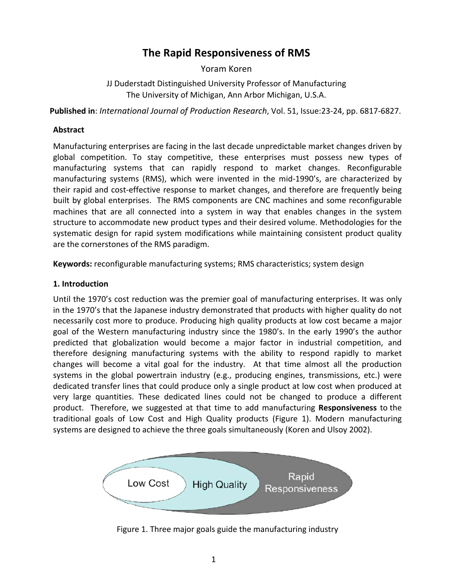# **The Rapid Responsiveness of RMS**

# Yoram Koren

# JJ Duderstadt Distinguished University Professor of Manufacturing The University of Michigan, Ann Arbor Michigan, U.S.A.

**Published in**: *International Journal of Production Research*, Vol. 51, Issue:23-24, pp. 6817-6827.

#### **Abstract**

Manufacturing enterprises are facing in the last decade unpredictable market changes driven by global competition. To stay competitive, these enterprises must possess new types of manufacturing systems that can rapidly respond to market changes. Reconfigurable manufacturing systems (RMS), which were invented in the mid-1990's, are characterized by their rapid and cost-effective response to market changes, and therefore are frequently being built by global enterprises. The RMS components are CNC machines and some reconfigurable machines that are all connected into a system in way that enables changes in the system structure to accommodate new product types and their desired volume. Methodologies for the systematic design for rapid system modifications while maintaining consistent product quality are the cornerstones of the RMS paradigm.

**Keywords:** reconfigurable manufacturing systems; RMS characteristics; system design

#### **1. Introduction**

Until the 1970's cost reduction was the premier goal of manufacturing enterprises. It was only in the 1970's that the Japanese industry demonstrated that products with higher quality do not necessarily cost more to produce. Producing high quality products at low cost became a major goal of the Western manufacturing industry since the 1980's. In the early 1990's the author predicted that globalization would become a major factor in industrial competition, and therefore designing manufacturing systems with the ability to respond rapidly to market changes will become a vital goal for the industry. At that time almost all the production systems in the global powertrain industry (e.g., producing engines, transmissions, etc.) were dedicated transfer lines that could produce only a single product at low cost when produced at very large quantities. These dedicated lines could not be changed to produce a different product. Therefore, we suggested at that time to add manufacturing Responsiveness to the traditional goals of Low Cost and High Quality products (Figure 1). Modern manufacturing systems are designed to achieve the three goals simultaneously (Koren and Ulsoy 2002).



Figure 1. Three major goals guide the manufacturing industry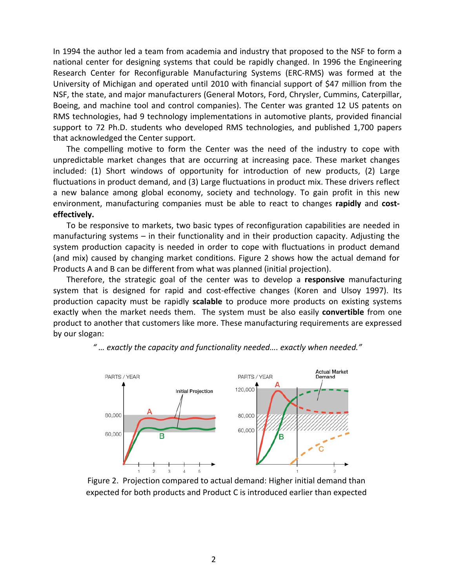In 1994 the author led a team from academia and industry that proposed to the NSF to form a national center for designing systems that could be rapidly changed. In 1996 the Engineering Research Center for Reconfigurable Manufacturing Systems (ERC-RMS) was formed at the University of Michigan and operated until 2010 with financial support of \$47 million from the NSF, the state, and major manufacturers (General Motors, Ford, Chrysler, Cummins, Caterpillar, Boeing, and machine tool and control companies). The Center was granted 12 US patents on RMS technologies, had 9 technology implementations in automotive plants, provided financial support to 72 Ph.D. students who developed RMS technologies, and published 1,700 papers that acknowledged the Center support.

The compelling motive to form the Center was the need of the industry to cope with unpredictable market changes that are occurring at increasing pace. These market changes included: (1) Short windows of opportunity for introduction of new products, (2) Large fluctuations in product demand, and (3) Large fluctuations in product mix. These drivers reflect a new balance among global economy, society and technology. To gain profit in this new environment, manufacturing companies must be able to react to changes rapidly and cost**effectively.**

To be responsive to markets, two basic types of reconfiguration capabilities are needed in manufacturing systems  $-$  in their functionality and in their production capacity. Adjusting the system production capacity is needed in order to cope with fluctuations in product demand (and mix) caused by changing market conditions. Figure 2 shows how the actual demand for Products A and B can be different from what was planned (initial projection).

Therefore, the strategic goal of the center was to develop a **responsive** manufacturing system that is designed for rapid and cost-effective changes (Koren and Ulsoy 1997). Its production capacity must be rapidly **scalable** to produce more products on existing systems exactly when the market needs them. The system must be also easily **convertible** from one product to another that customers like more. These manufacturing requirements are expressed by our slogan:



*" … exactly the capacity and functionality needed…. exactly when needed."*

Figure 2. Projection compared to actual demand: Higher initial demand than expected for both products and Product C is introduced earlier than expected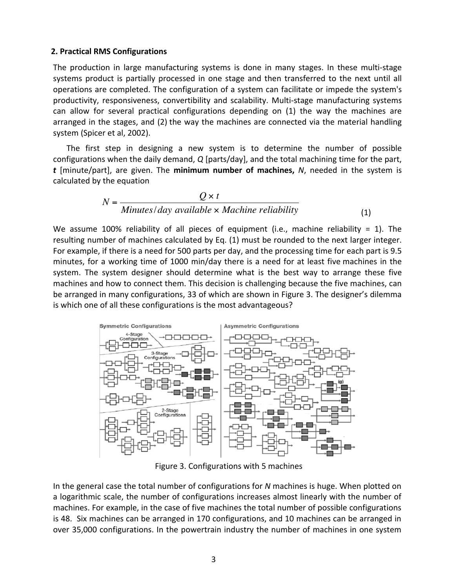#### **2. Practical RMS Configurations**

The production in large manufacturing systems is done in many stages. In these multi-stage systems product is partially processed in one stage and then transferred to the next until all operations are completed. The configuration of a system can facilitate or impede the system's productivity, responsiveness, convertibility and scalability. Multi-stage manufacturing systems can allow for several practical configurations depending on (1) the way the machines are arranged in the stages, and (2) the way the machines are connected via the material handling system (Spicer et al, 2002).

The first step in designing a new system is to determine the number of possible configurations when the daily demand, *Q* [parts/day], and the total machining time for the part, **t** [minute/part], are given. The **minimum number of machines,** *N*, needed in the system is calculated by the equation

$$
N = \frac{Q \times t}{Minutes/day available \times Machine reliability}
$$
\n(1)

For example, if there is a need for 500 parts per day, and the processing time for each part is 9.5 We assume 100% reliability of all pieces of equipment (i.e., machine reliability = 1). The resulting number of machines calculated by Eq. (1) must be rounded to the next larger integer. minutes, for a working time of 1000 min/day there is a need for at least five machines in the system. The system designer should determine what is the best way to arrange these five machines and how to connect them. This decision is challenging because the five machines, can be arranged in many configurations, 33 of which are shown in Figure 3. The designer's dilemma is which one of all these configurations is the most advantageous?



Figure 3. Configurations with 5 machines

In the general case the total number of configurations for *N* machines is huge. When plotted on a logarithmic scale, the number of configurations increases almost linearly with the number of machines. For example, in the case of five machines the total number of possible configurations is 48. Six machines can be arranged in 170 configurations, and 10 machines can be arranged in over 35,000 configurations. In the powertrain industry the number of machines in one system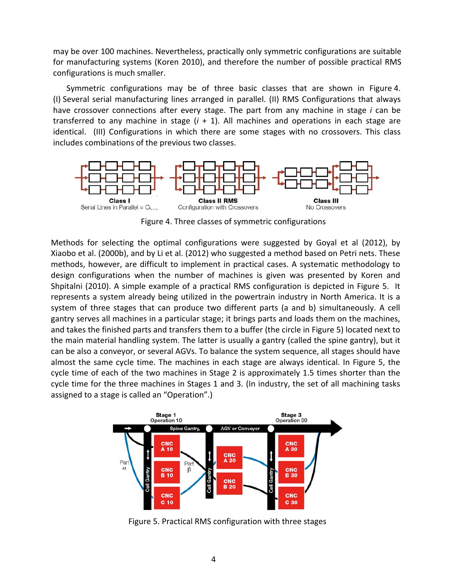may be over 100 machines. Nevertheless, practically only symmetric configurations are suitable for manufacturing systems (Koren 2010), and therefore the number of possible practical RMS configurations is much smaller.

Symmetric configurations may be of three basic classes that are shown in Figure 4. (I) Several serial manufacturing lines arranged in parallel. (II) RMS Configurations that always have crossover connections after every stage. The part from any machine in stage *i* can be transferred to any machine in stage  $(i + 1)$ . All machines and operations in each stage are identical. (III) Configurations in which there are some stages with no crossovers. This class includes combinations of the previous two classes.



Figure 4. Three classes of symmetric configurations

Methods for selecting the optimal configurations were suggested by Goyal et al (2012), by Xiaobo et al. (2000b), and by Li et al. (2012) who suggested a method based on Petri nets. These methods, however, are difficult to implement in practical cases. A systematic methodology to design configurations when the number of machines is given was presented by Koren and Shpitalni (2010). A simple example of a practical RMS configuration is depicted in Figure 5. It represents a system already being utilized in the powertrain industry in North America. It is a system of three stages that can produce two different parts (a and b) simultaneously. A cell gantry serves all machines in a particular stage; it brings parts and loads them on the machines, and takes the finished parts and transfers them to a buffer (the circle in Figure 5) located next to the main material handling system. The latter is usually a gantry (called the spine gantry), but it can be also a conveyor, or several AGVs. To balance the system sequence, all stages should have almost the same cycle time. The machines in each stage are always identical. In Figure 5, the cycle time of each of the two machines in Stage 2 is approximately 1.5 times shorter than the cycle time for the three machines in Stages 1 and 3. (In industry, the set of all machining tasks assigned to a stage is called an "Operation".)



Figure 5. Practical RMS configuration with three stages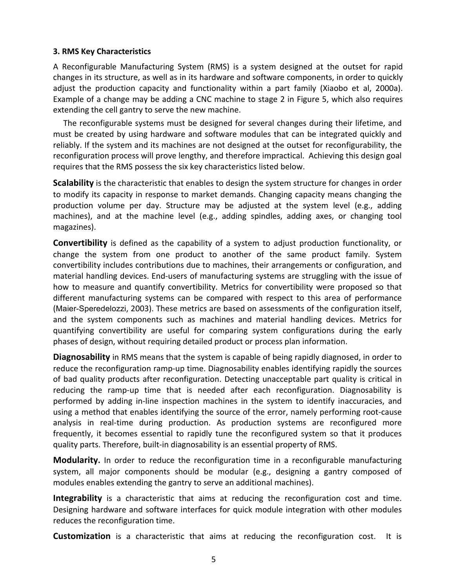#### **3. RMS Key Characteristics**

A Reconfigurable Manufacturing System (RMS) is a system designed at the outset for rapid changes in its structure, as well as in its hardware and software components, in order to quickly adjust the production capacity and functionality within a part family (Xiaobo et al, 2000a). Example of a change may be adding a CNC machine to stage 2 in Figure 5, which also requires extending the cell gantry to serve the new machine.

The reconfigurable systems must be designed for several changes during their lifetime, and must be created by using hardware and software modules that can be integrated quickly and reliably. If the system and its machines are not designed at the outset for reconfigurability, the reconfiguration process will prove lengthy, and therefore impractical. Achieving this design goal requires that the RMS possess the six key characteristics listed below.

**Scalability** is the characteristic that enables to design the system structure for changes in order to modify its capacity in response to market demands. Changing capacity means changing the production volume per day. Structure may be adjusted at the system level (e.g., adding machines), and at the machine level (e.g., adding spindles, adding axes, or changing tool magazines).

**Convertibility** is defined as the capability of a system to adjust production functionality, or change the system from one product to another of the same product family. System convertibility includes contributions due to machines, their arrangements or configuration, and material handling devices. End-users of manufacturing systems are struggling with the issue of how to measure and quantify convertibility. Metrics for convertibility were proposed so that different manufacturing systems can be compared with respect to this area of performance (Maier-Speredelozzi, 2003). These metrics are based on assessments of the configuration itself, and the system components such as machines and material handling devices. Metrics for quantifying convertibility are useful for comparing system configurations during the early phases of design, without requiring detailed product or process plan information.

**Diagnosability** in RMS means that the system is capable of being rapidly diagnosed, in order to reduce the reconfiguration ramp-up time. Diagnosability enables identifying rapidly the sources of bad quality products after reconfiguration. Detecting unacceptable part quality is critical in reducing the ramp-up time that is needed after each reconfiguration. Diagnosability is performed by adding in-line inspection machines in the system to identify inaccuracies, and using a method that enables identifying the source of the error, namely performing root-cause analysis in real-time during production. As production systems are reconfigured more frequently, it becomes essential to rapidly tune the reconfigured system so that it produces quality parts. Therefore, built-in diagnosability is an essential property of RMS.

**Modularity.** In order to reduce the reconfiguration time in a reconfigurable manufacturing system, all major components should be modular (e.g., designing a gantry composed of modules enables extending the gantry to serve an additional machines).

**Integrability** is a characteristic that aims at reducing the reconfiguration cost and time. Designing hardware and software interfaces for quick module integration with other modules reduces the reconfiguration time.

**Customization** is a characteristic that aims at reducing the reconfiguration cost. It is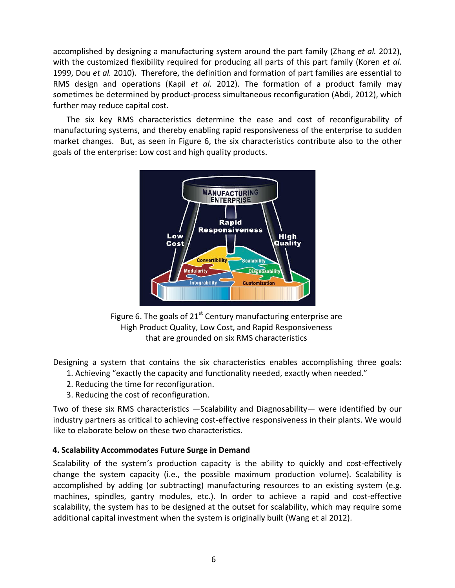accomplished by designing a manufacturing system around the part family (Zhang *et al.* 2012), with the customized flexibility required for producing all parts of this part family (Koren *et al.*) 1999, Dou et al. 2010). Therefore, the definition and formation of part families are essential to RMS design and operations (Kapil *et al.* 2012). The formation of a product family may sometimes be determined by product-process simultaneous reconfiguration (Abdi, 2012), which further may reduce capital cost.

The six key RMS characteristics determine the ease and cost of reconfigurability of manufacturing systems, and thereby enabling rapid responsiveness of the enterprise to sudden market changes. But, as seen in Figure 6, the six characteristics contribute also to the other goals of the enterprise: Low cost and high quality products.



Figure 6. The goals of  $21<sup>st</sup>$  Century manufacturing enterprise are High Product Quality, Low Cost, and Rapid Responsiveness that are grounded on six RMS characteristics

Designing a system that contains the six characteristics enables accomplishing three goals:

- 1. Achieving "exactly the capacity and functionality needed, exactly when needed."
- 2. Reducing the time for reconfiguration.
- 3. Reducing the cost of reconfiguration.

Two of these six RMS characteristics —Scalability and Diagnosability— were identified by our industry partners as critical to achieving cost-effective responsiveness in their plants. We would like to elaborate below on these two characteristics.

# **4. Scalability Accommodates Future Surge in Demand**

Scalability of the system's production capacity is the ability to quickly and cost-effectively change the system capacity (i.e., the possible maximum production volume). Scalability is accomplished by adding (or subtracting) manufacturing resources to an existing system (e.g. machines, spindles, gantry modules, etc.). In order to achieve a rapid and cost-effective scalability, the system has to be designed at the outset for scalability, which may require some additional capital investment when the system is originally built (Wang et al 2012).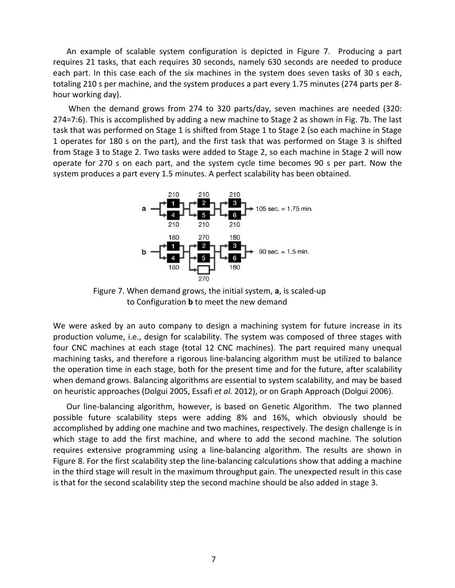An example of scalable system configuration is depicted in Figure 7. Producing a part requires 21 tasks, that each requires 30 seconds, namely 630 seconds are needed to produce each part. In this case each of the six machines in the system does seven tasks of 30 s each, totaling 210 s per machine, and the system produces a part every 1.75 minutes (274 parts per 8hour working day).

When the demand grows from 274 to 320 parts/day, seven machines are needed (320:  $274=7:6$ ). This is accomplished by adding a new machine to Stage 2 as shown in Fig. 7b. The last task that was performed on Stage 1 is shifted from Stage 1 to Stage 2 (so each machine in Stage 1 operates for 180 s on the part), and the first task that was performed on Stage 3 is shifted from Stage 3 to Stage 2. Two tasks were added to Stage 2, so each machine in Stage 2 will now operate for 270 s on each part, and the system cycle time becomes 90 s per part. Now the system produces a part every 1.5 minutes. A perfect scalability has been obtained.



Figure 7. When demand grows, the initial system, a, is scaled-up to Configuration **b** to meet the new demand

We were asked by an auto company to design a machining system for future increase in its production volume, i.e., design for scalability. The system was composed of three stages with four CNC machines at each stage (total 12 CNC machines). The part required many unequal machining tasks, and therefore a rigorous line-balancing algorithm must be utilized to balance the operation time in each stage, both for the present time and for the future, after scalability when demand grows. Balancing algorithms are essential to system scalability, and may be based on heuristic approaches (Dolgui 2005, Essafi et al. 2012), or on Graph Approach (Dolgui 2006).

Our line-balancing algorithm, however, is based on Genetic Algorithm. The two planned possible future scalability steps were adding 8% and 16%, which obviously should be accomplished by adding one machine and two machines, respectively. The design challenge is in which stage to add the first machine, and where to add the second machine. The solution requires extensive programming using a line-balancing algorithm. The results are shown in Figure 8. For the first scalability step the line-balancing calculations show that adding a machine in the third stage will result in the maximum throughput gain. The unexpected result in this case is that for the second scalability step the second machine should be also added in stage 3.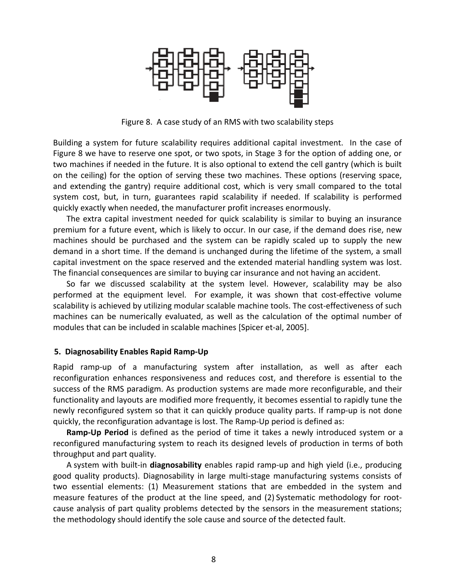

Figure 8. A case study of an RMS with two scalability steps

Building a system for future scalability requires additional capital investment. In the case of Figure 8 we have to reserve one spot, or two spots, in Stage 3 for the option of adding one, or two machines if needed in the future. It is also optional to extend the cell gantry (which is built on the ceiling) for the option of serving these two machines. These options (reserving space, and extending the gantry) require additional cost, which is very small compared to the total system cost, but, in turn, guarantees rapid scalability if needed. If scalability is performed quickly exactly when needed, the manufacturer profit increases enormously.

The extra capital investment needed for quick scalability is similar to buying an insurance premium for a future event, which is likely to occur. In our case, if the demand does rise, new machines should be purchased and the system can be rapidly scaled up to supply the new demand in a short time. If the demand is unchanged during the lifetime of the system, a small capital investment on the space reserved and the extended material handling system was lost. The financial consequences are similar to buying car insurance and not having an accident.

So far we discussed scalability at the system level. However, scalability may be also performed at the equipment level. For example, it was shown that cost-effective volume scalability is achieved by utilizing modular scalable machine tools. The cost-effectiveness of such machines can be numerically evaluated, as well as the calculation of the optimal number of modules that can be included in scalable machines [Spicer et-al, 2005].

#### **5. Diagnosability Enables Rapid Ramp-Up**

Rapid ramp-up of a manufacturing system after installation, as well as after each reconfiguration enhances responsiveness and reduces cost, and therefore is essential to the success of the RMS paradigm. As production systems are made more reconfigurable, and their functionality and layouts are modified more frequently, it becomes essential to rapidly tune the newly reconfigured system so that it can quickly produce quality parts. If ramp-up is not done quickly, the reconfiguration advantage is lost. The Ramp-Up period is defined as:

Ramp-Up Period is defined as the period of time it takes a newly introduced system or a reconfigured manufacturing system to reach its designed levels of production in terms of both throughput and part quality.

A system with built-in **diagnosability** enables rapid ramp-up and high yield (i.e., producing good quality products). Diagnosability in large multi-stage manufacturing systems consists of two essential elements: (1) Measurement stations that are embedded in the system and measure features of the product at the line speed, and (2) Systematic methodology for rootcause analysis of part quality problems detected by the sensors in the measurement stations; the methodology should identify the sole cause and source of the detected fault.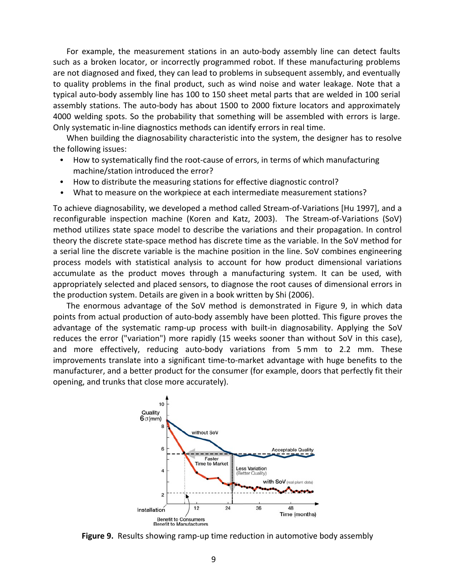For example, the measurement stations in an auto-body assembly line can detect faults such as a broken locator, or incorrectly programmed robot. If these manufacturing problems are not diagnosed and fixed, they can lead to problems in subsequent assembly, and eventually to quality problems in the final product, such as wind noise and water leakage. Note that a typical auto-body assembly line has 100 to 150 sheet metal parts that are welded in 100 serial assembly stations. The auto-body has about 1500 to 2000 fixture locators and approximately 4000 welding spots. So the probability that something will be assembled with errors is large. Only systematic in-line diagnostics methods can identify errors in real time.

When building the diagnosability characteristic into the system, the designer has to resolve the following issues:

- How to systematically find the root-cause of errors, in terms of which manufacturing machine/station introduced the error?
- How to distribute the measuring stations for effective diagnostic control?
- What to measure on the workpiece at each intermediate measurement stations?

To achieve diagnosability, we developed a method called Stream-of-Variations [Hu 1997], and a reconfigurable inspection machine (Koren and Katz, 2003). The Stream-of-Variations (SoV) method utilizes state space model to describe the variations and their propagation. In control theory the discrete state-space method has discrete time as the variable. In the SoV method for a serial line the discrete variable is the machine position in the line. SoV combines engineering process models with statistical analysis to account for how product dimensional variations accumulate as the product moves through a manufacturing system. It can be used, with appropriately selected and placed sensors, to diagnose the root causes of dimensional errors in the production system. Details are given in a book written by Shi (2006).

The enormous advantage of the SoV method is demonstrated in Figure 9, in which data points from actual production of auto-body assembly have been plotted. This figure proves the advantage of the systematic ramp-up process with built-in diagnosability. Applying the SoV reduces the error ("variation") more rapidly (15 weeks sooner than without SoV in this case), and more effectively, reducing auto-body variations from 5 mm to 2.2 mm. These improvements translate into a significant time-to-market advantage with huge benefits to the manufacturer, and a better product for the consumer (for example, doors that perfectly fit their opening, and trunks that close more accurately).



**Figure 9.** Results showing ramp-up time reduction in automotive body assembly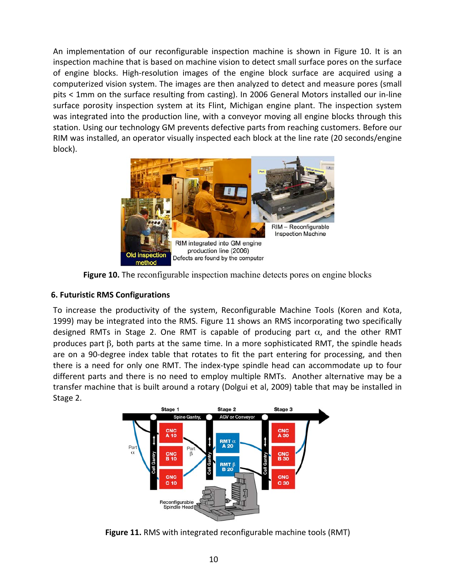An implementation of our reconfigurable inspection machine is shown in Figure 10. It is an inspection machine that is based on machine vision to detect small surface pores on the surface of engine blocks. High-resolution images of the engine block surface are acquired using a computerized vision system. The images are then analyzed to detect and measure pores (small pits < 1mm on the surface resulting from casting). In 2006 General Motors installed our in-line surface porosity inspection system at its Flint, Michigan engine plant. The inspection system was integrated into the production line, with a conveyor moving all engine blocks through this station. Using our technology GM prevents defective parts from reaching customers. Before our RIM was installed, an operator visually inspected each block at the line rate (20 seconds/engine block).



**Figure 10.** The reconfigurable inspection machine detects pores on engine blocks

# **6. Futuristic RMS Configurations**

To increase the productivity of the system, Reconfigurable Machine Tools (Koren and Kota, 1999) may be integrated into the RMS. Figure 11 shows an RMS incorporating two specifically designed RMTs in Stage 2. One RMT is capable of producing part  $\alpha$ , and the other RMT produces part  $\beta$ , both parts at the same time. In a more sophisticated RMT, the spindle heads are on a 90-degree index table that rotates to fit the part entering for processing, and then there is a need for only one RMT. The index-type spindle head can accommodate up to four different parts and there is no need to employ multiple RMTs. Another alternative may be a transfer machine that is built around a rotary (Dolgui et al, 2009) table that may be installed in Stage 2.



**Figure 11.** RMS with integrated reconfigurable machine tools (RMT)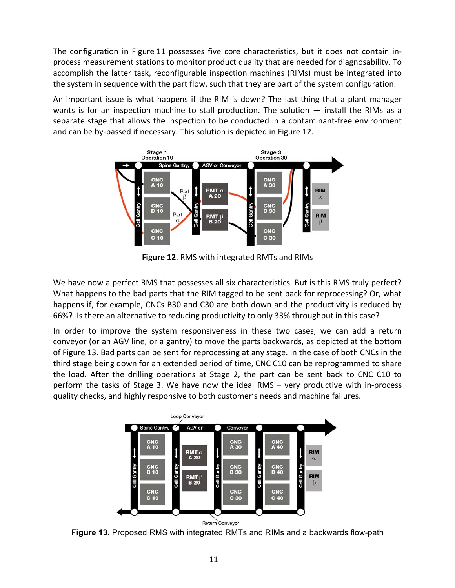The configuration in Figure 11 possesses five core characteristics, but it does not contain inprocess measurement stations to monitor product quality that are needed for diagnosability. To accomplish the latter task, reconfigurable inspection machines (RIMs) must be integrated into the system in sequence with the part flow, such that they are part of the system configuration.

An important issue is what happens if the RIM is down? The last thing that a plant manager wants is for an inspection machine to stall production. The solution  $-$  install the RIMs as a separate stage that allows the inspection to be conducted in a contaminant-free environment and can be by-passed if necessary. This solution is depicted in Figure 12.



**Figure 12.** RMS with integrated RMTs and RIMs

We have now a perfect RMS that possesses all six characteristics. But is this RMS truly perfect? What happens to the bad parts that the RIM tagged to be sent back for reprocessing? Or, what happens if, for example, CNCs B30 and C30 are both down and the productivity is reduced by 66%? Is there an alternative to reducing productivity to only 33% throughput in this case?

In order to improve the system responsiveness in these two cases, we can add a return conveyor (or an AGV line, or a gantry) to move the parts backwards, as depicted at the bottom of Figure 13. Bad parts can be sent for reprocessing at any stage. In the case of both CNCs in the third stage being down for an extended period of time, CNC C10 can be reprogrammed to share the load. After the drilling operations at Stage 2, the part can be sent back to CNC C10 to perform the tasks of Stage 3. We have now the ideal RMS – very productive with in-process quality checks, and highly responsive to both customer's needs and machine failures.



**Figure 13**. Proposed RMS with integrated RMTs and RIMs and a backwards flow-path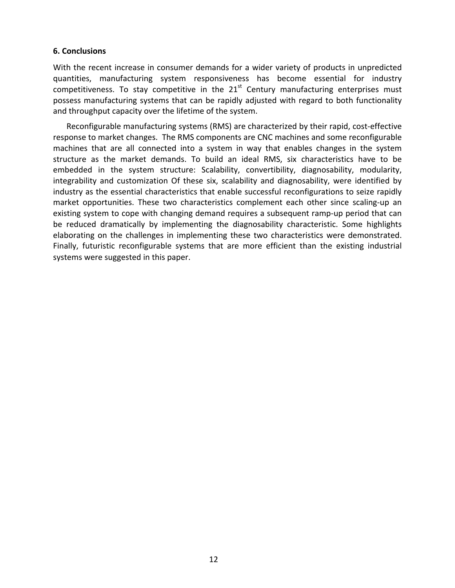#### **6. Conclusions**

With the recent increase in consumer demands for a wider variety of products in unpredicted quantities, manufacturing system responsiveness has become essential for industry competitiveness. To stay competitive in the  $21<sup>st</sup>$  Century manufacturing enterprises must possess manufacturing systems that can be rapidly adjusted with regard to both functionality and throughput capacity over the lifetime of the system.

Reconfigurable manufacturing systems (RMS) are characterized by their rapid, cost-effective response to market changes. The RMS components are CNC machines and some reconfigurable machines that are all connected into a system in way that enables changes in the system structure as the market demands. To build an ideal RMS, six characteristics have to be embedded in the system structure: Scalability, convertibility, diagnosability, modularity, integrability and customization Of these six, scalability and diagnosability, were identified by industry as the essential characteristics that enable successful reconfigurations to seize rapidly market opportunities. These two characteristics complement each other since scaling-up an existing system to cope with changing demand requires a subsequent ramp-up period that can be reduced dramatically by implementing the diagnosability characteristic. Some highlights elaborating on the challenges in implementing these two characteristics were demonstrated. Finally, futuristic reconfigurable systems that are more efficient than the existing industrial systems were suggested in this paper.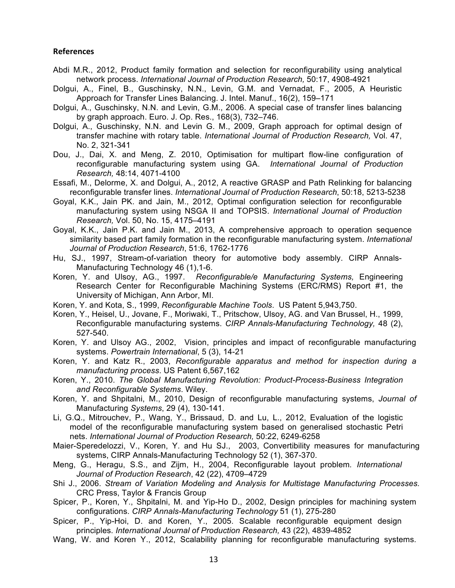#### **References**

- Abdi M.R., 2012, Product family formation and selection for reconfigurability using analytical network process. *International Journal of Production Research,* 50:17, 4908-4921
- Dolgui, A., Finel, B., Guschinsky, N.N., Levin, G.M. and Vernadat, F., 2005, A Heuristic Approach for Transfer Lines Balancing. J. Intel. Manuf., 16(2), 159–171
- Dolgui, A., Guschinsky, N.N. and Levin, G.M., 2006. A special case of transfer lines balancing by graph approach. Euro. J. Op. Res., 168(3), 732–746.
- Dolgui, A., Guschinsky, N.N. and Levin G. M., 2009, Graph approach for optimal design of transfer machine with rotary table. *International Journal of Production Research,* Vol. 47, No. 2, 321-341
- Dou, J., Dai, X. and Meng, Z. 2010, Optimisation for multipart flow-line configuration of reconfigurable manufacturing system using GA. *International Journal of Production Research,* 48:14, 4071-4100
- Essafi, M., Delorme, X. and Dolgui, A., 2012, A reactive GRASP and Path Relinking for balancing reconfigurable transfer lines. *International Journal of Production Research*, 50:18, 5213-5238
- Goyal, K.K., Jain PK. and Jain, M., 2012, Optimal configuration selection for reconfigurable manufacturing system using NSGA II and TOPSIS. *International Journal of Production Research,* Vol. 50, No. 15, 4175–4191
- Goyal, K.K., Jain P.K. and Jain M., 2013, A comprehensive approach to operation sequence similarity based part family formation in the reconfigurable manufacturing system. *International Journal of Production Research*, 51:6, 1762-1776
- Hu, SJ., 1997, Stream-of-variation theory for automotive body assembly. CIRP Annals-Manufacturing Technology 46 (1),1-6.
- Koren, Y. and Ulsoy, AG., 1997. *Reconfigurable/e Manufacturing Systems,* Engineering Research Center for Reconfigurable Machining Systems (ERC/RMS) Report #1, the University of Michigan, Ann Arbor, MI.
- Koren, Y. and Kota, S., 1999, *Reconfigurable Machine Tools*. US Patent 5,943,750.
- Koren, Y., Heisel, U., Jovane, F., Moriwaki, T., Pritschow, Ulsoy, AG. and Van Brussel, H., 1999, Reconfigurable manufacturing systems. *CIRP Annals-Manufacturing Technology,* 48 (2), 527-540.
- Koren, Y. and Ulsoy AG., 2002, Vision, principles and impact of reconfigurable manufacturing systems. *Powertrain International*, 5 (3), 14-21
- Koren, Y. and Katz R., 2003, *Reconfigurable apparatus and method for inspection during a manufacturing process*. US Patent 6,567,162
- Koren, Y., 2010. *The Global Manufacturing Revolution: Product-Process-Business Integration and Reconfigurable Systems*. Wiley.
- Koren, Y. and Shpitalni, M., 2010, Design of reconfigurable manufacturing systems, *Journal of*  Manufacturing *Systems*, 29 (4), 130-141.
- Li, G.Q., Mitrouchev, P., Wang, Y., Brissaud, D. and Lu, L., 2012, Evaluation of the logistic model of the reconfigurable manufacturing system based on generalised stochastic Petri nets. *International Journal of Production Research,* 50:22, 6249-6258
- Maier-Speredelozzi, V., Koren, Y. and Hu SJ., 2003, Convertibility measures for manufacturing systems, CIRP Annals-Manufacturing Technology 52 (1), 367-370.
- Meng, G., Heragu, S.S., and Zijm, H., 2004, Reconfigurable layout problem*. International Journal of Production Research*, 42 (22), 4709–4729
- Shi J., 2006. *Stream of Variation Modeling and Analysis for Multistage Manufacturing Processes.*  CRC Press, Taylor & Francis Group
- Spicer, P., Koren, Y., Shpitalni, M. and Yip-Ho D., 2002, Design principles for machining system configurations. *CIRP Annals-Manufacturing Technology* 51 (1), 275-280
- Spicer, P., Yip-Hoi, D. and Koren, Y., 2005. Scalable reconfigurable equipment design principles. *International Journal of Production Research,* 43 (22), 4839-4852
- Wang, W. and Koren Y., 2012, Scalability planning for reconfigurable manufacturing systems.